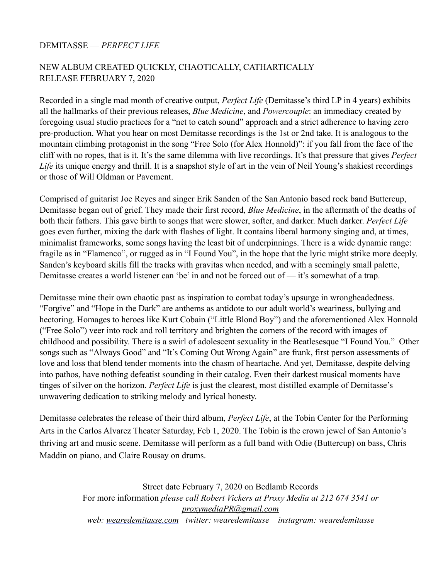## DEMITASSE — *PERFECT LIFE*

## NEW ALBUM CREATED QUICKLY, CHAOTICALLY, CATHARTICALLY RELEASE FEBRUARY 7, 2020

Recorded in a single mad month of creative output, *Perfect Life* (Demitasse's third LP in 4 years) exhibits all the hallmarks of their previous releases, *Blue Medicine*, and *Powercouple*: an immediacy created by foregoing usual studio practices for a "net to catch sound" approach and a strict adherence to having zero pre-production. What you hear on most Demitasse recordings is the 1st or 2nd take. It is analogous to the mountain climbing protagonist in the song "Free Solo (for Alex Honnold)": if you fall from the face of the cliff with no ropes, that is it. It's the same dilemma with live recordings. It's that pressure that gives *Perfect Life* its unique energy and thrill. It is a snapshot style of art in the vein of Neil Young's shakiest recordings or those of Will Oldman or Pavement.

Comprised of guitarist Joe Reyes and singer Erik Sanden of the San Antonio based rock band Buttercup, Demitasse began out of grief. They made their first record, *Blue Medicine*, in the aftermath of the deaths of both their fathers. This gave birth to songs that were slower, softer, and darker. Much darker. *Perfect Life*  goes even further, mixing the dark with flashes of light. It contains liberal harmony singing and, at times, minimalist frameworks, some songs having the least bit of underpinnings. There is a wide dynamic range: fragile as in "Flamenco", or rugged as in "I Found You", in the hope that the lyric might strike more deeply. Sanden's keyboard skills fill the tracks with gravitas when needed, and with a seemingly small palette, Demitasse creates a world listener can 'be' in and not be forced out of — it's somewhat of a trap.

Demitasse mine their own chaotic past as inspiration to combat today's upsurge in wrongheadedness. "Forgive" and "Hope in the Dark" are anthems as antidote to our adult world's weariness, bullying and hectoring. Homages to heroes like Kurt Cobain ("Little Blond Boy") and the aforementioned Alex Honnold ("Free Solo") veer into rock and roll territory and brighten the corners of the record with images of childhood and possibility. There is a swirl of adolescent sexuality in the Beatlesesque "I Found You." Other songs such as "Always Good" and "It's Coming Out Wrong Again" are frank, first person assessments of love and loss that blend tender moments into the chasm of heartache. And yet, Demitasse, despite delving into pathos, have nothing defeatist sounding in their catalog. Even their darkest musical moments have tinges of silver on the horizon. *Perfect Life* is just the clearest, most distilled example of Demitasse's unwavering dedication to striking melody and lyrical honesty.

Demitasse celebrates the release of their third album, *Perfect Life*, at the Tobin Center for the Performing Arts in the Carlos Alvarez Theater Saturday, Feb 1, 2020. The Tobin is the crown jewel of San Antonio's thriving art and music scene. Demitasse will perform as a full band with Odie (Buttercup) on bass, Chris Maddin on piano, and Claire Rousay on drums.

> Street date February 7, 2020 on Bedlamb Records For more information *please call Robert Vickers at Proxy Media at 212 674 3541 or [proxymediaPR@gmail.com](mailto:proxymediaPR@gmail.com) web: [wearedemitasse.com](http://wearedemitasse.com) twitter: wearedemitasse instagram: wearedemitasse*